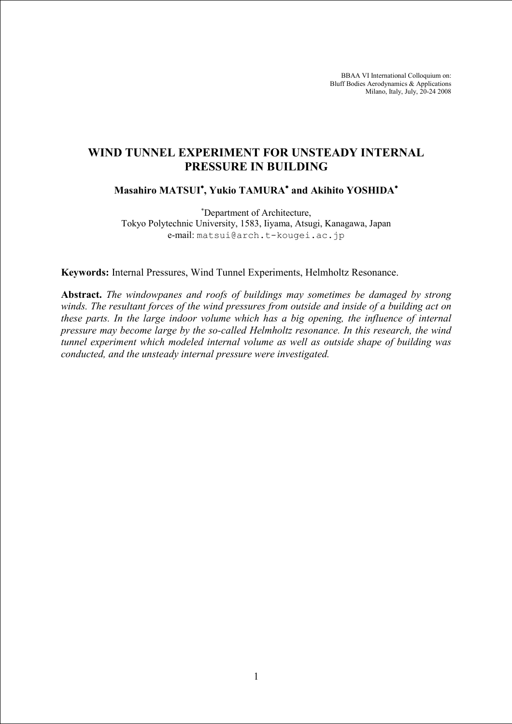BBAA VI International Colloquium on: Bluff Bodies Aerodynamics & Applications Milano, Italy, July, 20-24 2008

# **WIND TUNNEL EXPERIMENT FOR UNSTEADY INTERNAL PRESSURE IN BUILDING**

# **Masahiro MATSUI , Yukio TAMURA and Akihito YOSHIDA**

 Department of Architecture, Tokyo Polytechnic University, 1583, Iiyama, Atsugi, Kanagawa, Japan e-mail: matsui@arch.t-kougei.ac.jp

**Keywords:** Internal Pressures, Wind Tunnel Experiments, Helmholtz Resonance.

**Abstract.** *The windowpanes and roofs of buildings may sometimes be damaged by strong winds. The resultant forces of the wind pressures from outside and inside of a building act on these parts. In the large indoor volume which has a big opening, the influence of internal pressure may become large by the so-called Helmholtz resonance. In this research, the wind tunnel experiment which modeled internal volume as well as outside shape of building was conducted, and the unsteady internal pressure were investigated.*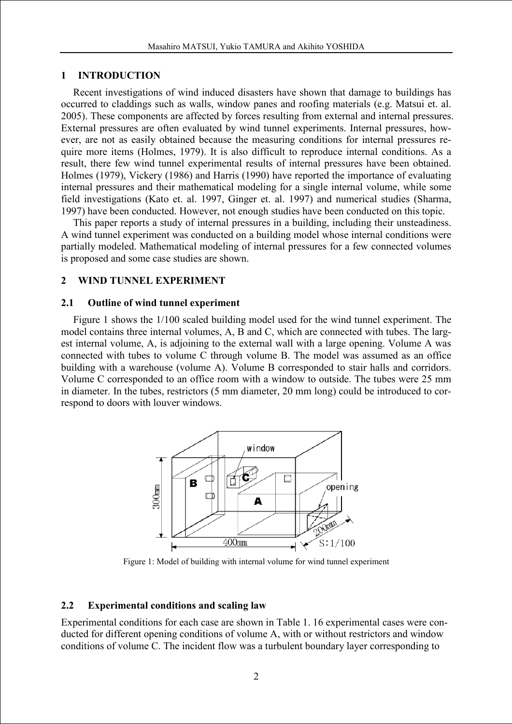## **1 INTRODUCTION**

Recent investigations of wind induced disasters have shown that damage to buildings has occurred to claddings such as walls, window panes and roofing materials (e.g. Matsui et. al. 2005). These components are affected by forces resulting from external and internal pressures. External pressures are often evaluated by wind tunnel experiments. Internal pressures, however, are not as easily obtained because the measuring conditions for internal pressures require more items (Holmes, 1979). It is also difficult to reproduce internal conditions. As a result, there few wind tunnel experimental results of internal pressures have been obtained. Holmes (1979), Vickery (1986) and Harris (1990) have reported the importance of evaluating internal pressures and their mathematical modeling for a single internal volume, while some field investigations (Kato et. al. 1997, Ginger et. al. 1997) and numerical studies (Sharma, 1997) have been conducted. However, not enough studies have been conducted on this topic.

This paper reports a study of internal pressures in a building, including their unsteadiness. A wind tunnel experiment was conducted on a building model whose internal conditions were partially modeled. Mathematical modeling of internal pressures for a few connected volumes is proposed and some case studies are shown.

# **2 WIND TUNNEL EXPERIMENT**

### **2.1 Outline of wind tunnel experiment**

Figure 1 shows the 1/100 scaled building model used for the wind tunnel experiment. The model contains three internal volumes, A, B and C, which are connected with tubes. The largest internal volume, A, is adjoining to the external wall with a large opening. Volume A was connected with tubes to volume C through volume B. The model was assumed as an office building with a warehouse (volume A). Volume B corresponded to stair halls and corridors. Volume C corresponded to an office room with a window to outside. The tubes were 25 mm in diameter. In the tubes, restrictors (5 mm diameter, 20 mm long) could be introduced to correspond to doors with louver windows.



Figure 1: Model of building with internal volume for wind tunnel experiment

# **2.2 Experimental conditions and scaling law**

Experimental conditions for each case are shown in Table 1. 16 experimental cases were conducted for different opening conditions of volume A, with or without restrictors and window conditions of volume C. The incident flow was a turbulent boundary layer corresponding to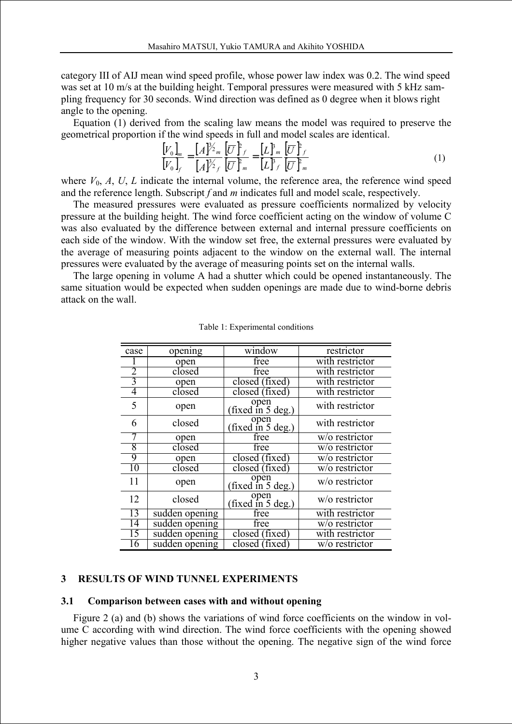category III of AIJ mean wind speed profile, whose power law index was 0.2. The wind speed was set at 10 m/s at the building height. Temporal pressures were measured with 5 kHz sampling frequency for 30 seconds. Wind direction was defined as 0 degree when it blows right angle to the opening.

Equation (1) derived from the scaling law means the model was required to preserve the geometrical proportion if the wind speeds in full and model scales are identical.

$$
\frac{\begin{bmatrix} V_0 \end{bmatrix}_m}{\begin{bmatrix} V_0 \end{bmatrix}_f} = \frac{\begin{bmatrix} A \end{bmatrix}^{\frac{2}{2}}_m}{\begin{bmatrix} A \end{bmatrix}^{\frac{2}{2}}_f} \frac{\begin{bmatrix} \overline{U} \end{bmatrix}^p{}_f}{\begin{bmatrix} \overline{U} \end{bmatrix}^n{}_m} = \frac{\begin{bmatrix} L \end{bmatrix}^n{}_m}{\begin{bmatrix} L \end{bmatrix}^r_f} \frac{\begin{bmatrix} \overline{U} \end{bmatrix}^p{}_m}{\begin{bmatrix} \overline{U} \end{bmatrix}^n{}_m}
$$
\n(1)

where  $V_0$ ,  $A$ ,  $U$ ,  $L$  indicate the internal volume, the reference area, the reference wind speed and the reference length. Subscript *f* and *m* indicates full and model scale, respectively.

The measured pressures were evaluated as pressure coefficients normalized by velocity pressure at the building height. The wind force coefficient acting on the window of volume C was also evaluated by the difference between external and internal pressure coefficients on each side of the window. With the window set free, the external pressures were evaluated by the average of measuring points adjacent to the window on the external wall. The internal pressures were evaluated by the average of measuring points set on the internal walls.

The large opening in volume A had a shutter which could be opened instantaneously. The same situation would be expected when sudden openings are made due to wind-borne debris attack on the wall.

| case | opening        | window                          | restrictor      |  |
|------|----------------|---------------------------------|-----------------|--|
|      | open           | free                            | with restrictor |  |
|      | closed         | free                            | with restrictor |  |
| 3    | open           | closed (fixed)                  | with restrictor |  |
| 4    | closed         | closed (fixed)                  | with restrictor |  |
| 5    | open           | open<br>(fixed in 5 deg.)       | with restrictor |  |
| 6    | closed         | open<br>(fixed in 5 deg.)       | with restrictor |  |
|      | open           | free                            | w/o restrictor  |  |
| 8    | closed         | free                            | w/o restrictor  |  |
| 9    | open           | closed (fixed)                  | w/o restrictor  |  |
| 10   | closed         | closed (fixed)                  | w/o restrictor  |  |
| 11   | open           | open<br>(fixed in 5 deg.)       | w/o restrictor  |  |
| 12   | closed         | $\sqrt{\text{fixed in 5 deg.}}$ | w/o restrictor  |  |
| 13   | sudden opening | free                            | with restrictor |  |
| 14   | sudden opening | free                            | w/o restrictor  |  |
| 15   | sudden opening | closed (fixed)                  | with restrictor |  |
| 16   | sudden opening | closed (fixed)                  | w/o restrictor  |  |

Table 1: Experimental conditions

### **3 RESULTS OF WIND TUNNEL EXPERIMENTS**

#### **3.1 Comparison between cases with and without opening**

Figure 2 (a) and (b) shows the variations of wind force coefficients on the window in volume C according with wind direction. The wind force coefficients with the opening showed higher negative values than those without the opening. The negative sign of the wind force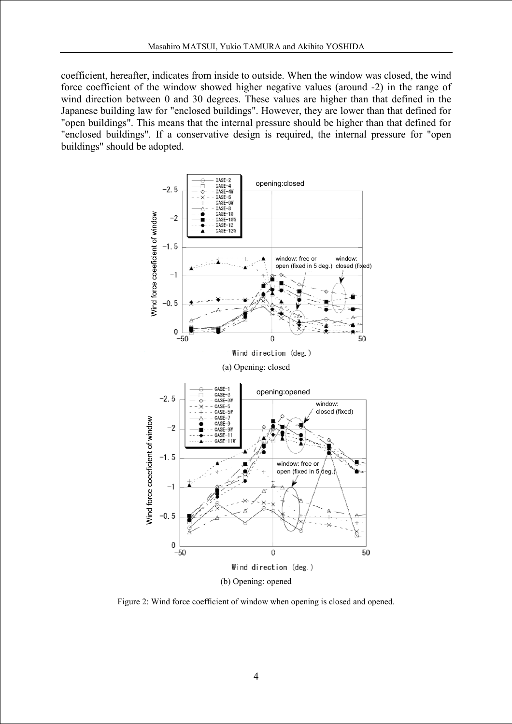coefficient, hereafter, indicates from inside to outside. When the window was closed, the wind force coefficient of the window showed higher negative values (around -2) in the range of wind direction between 0 and 30 degrees. These values are higher than that defined in the Japanese building law for "enclosed buildings". However, they are lower than that defined for "open buildings". This means that the internal pressure should be higher than that defined for "enclosed buildings". If a conservative design is required, the internal pressure for "open buildings" should be adopted.



Figure 2: Wind force coefficient of window when opening is closed and opened.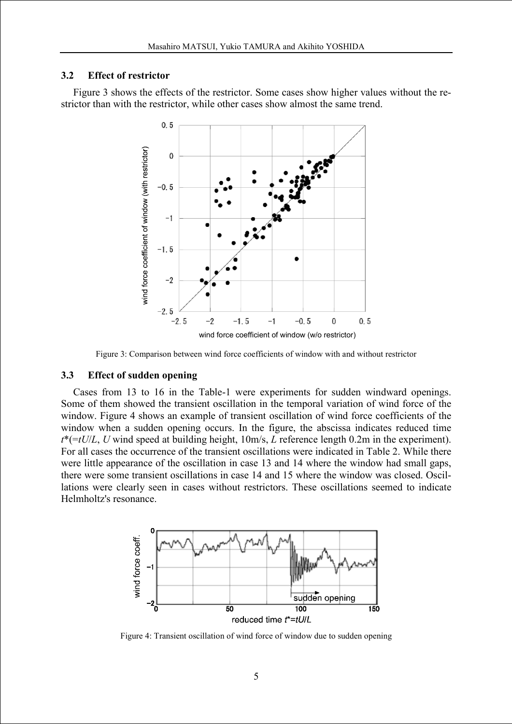### **3.2 Effect of restrictor**

Figure 3 shows the effects of the restrictor. Some cases show higher values without the restrictor than with the restrictor, while other cases show almost the same trend.



Figure 3: Comparison between wind force coefficients of window with and without restrictor

### **3.3 Effect of sudden opening**

Cases from 13 to 16 in the Table-1 were experiments for sudden windward openings. Some of them showed the transient oscillation in the temporal variation of wind force of the window. Figure 4 shows an example of transient oscillation of wind force coefficients of the window when a sudden opening occurs. In the figure, the abscissa indicates reduced time *t*\*(=*tU*/*L*, *U* wind speed at building height, 10m/s, *L* reference length 0.2m in the experiment). For all cases the occurrence of the transient oscillations were indicated in Table 2. While there were little appearance of the oscillation in case 13 and 14 where the window had small gaps, there were some transient oscillations in case 14 and 15 where the window was closed. Oscillations were clearly seen in cases without restrictors. These oscillations seemed to indicate Helmholtz's resonance.



Figure 4: Transient oscillation of wind force of window due to sudden opening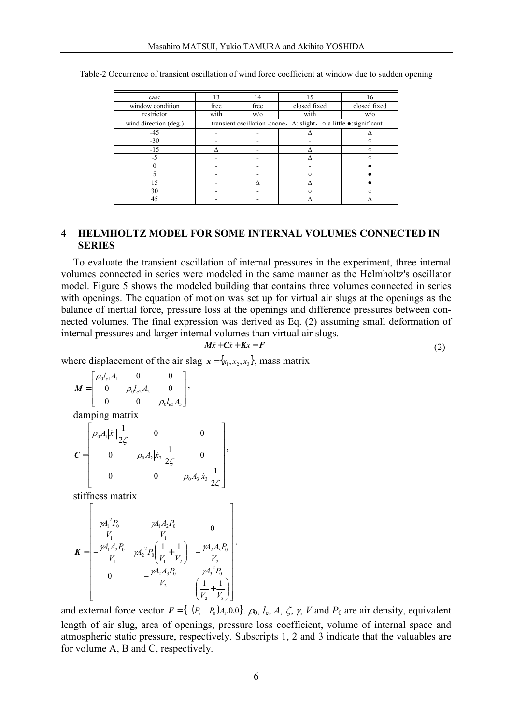| case                  | 13                                                                                           | 14   | 15           | 16           |  |
|-----------------------|----------------------------------------------------------------------------------------------|------|--------------|--------------|--|
| window condition      | free                                                                                         | free | closed fixed | closed fixed |  |
| restrictor            | with                                                                                         | W/O  | with         | W/O          |  |
| wind direction (deg.) | transient oscillation -: none, $\Delta$ : slight, $\circ$ : a little $\bullet$ : significant |      |              |              |  |
| $-45$                 |                                                                                              |      |              |              |  |
| $-30$                 |                                                                                              |      |              |              |  |
| $-15$                 |                                                                                              |      |              |              |  |
| -5                    |                                                                                              |      |              |              |  |
|                       |                                                                                              |      |              |              |  |
|                       |                                                                                              |      |              |              |  |
|                       |                                                                                              |      |              |              |  |
| 30                    |                                                                                              |      |              |              |  |
| 45                    |                                                                                              |      |              |              |  |

Table-2 Occurrence of transient oscillation of wind force coefficient at window due to sudden opening

# **4 HELMHOLTZ MODEL FOR SOME INTERNAL VOLUMES CONNECTED IN SERIES**

To evaluate the transient oscillation of internal pressures in the experiment, three internal volumes connected in series were modeled in the same manner as the Helmholtz's oscillator model. Figure 5 shows the modeled building that contains three volumes connected in series with openings. The equation of motion was set up for virtual air slugs at the openings as the balance of inertial force, pressure loss at the openings and difference pressures between connected volumes. The final expression was derived as Eq. (2) assuming small deformation of internal pressures and larger internal volumes than virtual air slugs.

$$
M\ddot{x} + C\dot{x} + Kx = F \tag{2}
$$

where displacement of the air slag  $x = \{x_1, x_2, x_3\}$ , mass matrix

$$
\boldsymbol{M} = \begin{bmatrix} \rho_0 l_{e1} A_1 & 0 & 0 \\ 0 & \rho_0 l_{e2} A_2 & 0 \\ 0 & 0 & \rho_0 l_{e3} A_3 \end{bmatrix},
$$

damping matrix

$$
\mathbf{C} = \begin{bmatrix} \rho_0 A_1 |\dot{x}_1| \frac{1}{2\zeta} & 0 & 0 \\ 0 & \rho_0 A_2 |\dot{x}_2| \frac{1}{2\zeta} & 0 \\ 0 & 0 & \rho_0 A_3 |\dot{x}_3| \frac{1}{2\zeta} \end{bmatrix},
$$

stiffness matrix

 $\Gamma$ 

$$
\mathbf{K} = \begin{bmatrix} \frac{\gamma A_1^2 P_0}{V_1} & -\frac{\gamma A_1 A_2 P_0}{V_1} & 0\\ -\frac{\gamma A_1 A_2 P_0}{V_1} & \gamma A_2^2 P_0 \left( \frac{1}{V_1} + \frac{1}{V_2} \right) & -\frac{\gamma A_2 A_3 P_0}{V_2} \\ 0 & -\frac{\gamma A_2 A_3 P_0}{V_2} & \frac{\gamma A_3^2 P_0}{V_2 + V_3} \end{bmatrix},
$$

and external force vector  $F = \{-(P_e - P_0)A_1, 0, 0\}$ .  $\rho_0, l_e, A, \zeta, \gamma, V$  and  $P_0$  are air density, equivalent length of air slug, area of openings, pressure loss coefficient, volume of internal space and atmospheric static pressure, respectively. Subscripts 1, 2 and 3 indicate that the valuables are for volume A, B and C, respectively.

 $\overline{1}$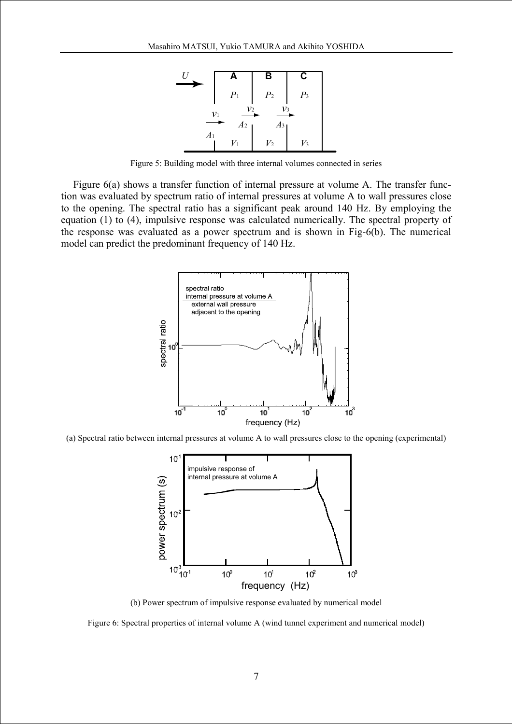

Figure 5: Building model with three internal volumes connected in series

Figure 6(a) shows a transfer function of internal pressure at volume A. The transfer function was evaluated by spectrum ratio of internal pressures at volume A to wall pressures close to the opening. The spectral ratio has a significant peak around 140 Hz. By employing the equation (1) to (4), impulsive response was calculated numerically. The spectral property of the response was evaluated as a power spectrum and is shown in Fig-6(b). The numerical model can predict the predominant frequency of 140 Hz.



(a) Spectral ratio between internal pressures at volume A to wall pressures close to the opening (experimental)



(b) Power spectrum of impulsive response evaluated by numerical model

Figure 6: Spectral properties of internal volume A (wind tunnel experiment and numerical model)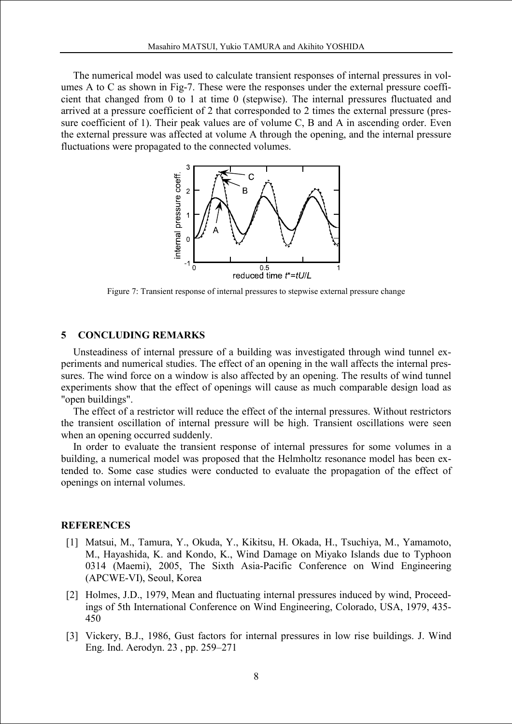The numerical model was used to calculate transient responses of internal pressures in volumes A to C as shown in Fig-7. These were the responses under the external pressure coefficient that changed from 0 to 1 at time 0 (stepwise). The internal pressures fluctuated and arrived at a pressure coefficient of 2 that corresponded to 2 times the external pressure (pressure coefficient of 1). Their peak values are of volume C, B and A in ascending order. Even the external pressure was affected at volume A through the opening, and the internal pressure fluctuations were propagated to the connected volumes.



Figure 7: Transient response of internal pressures to stepwise external pressure change

# **5 CONCLUDING REMARKS**

Unsteadiness of internal pressure of a building was investigated through wind tunnel experiments and numerical studies. The effect of an opening in the wall affects the internal pressures. The wind force on a window is also affected by an opening. The results of wind tunnel experiments show that the effect of openings will cause as much comparable design load as "open buildings".

The effect of a restrictor will reduce the effect of the internal pressures. Without restrictors the transient oscillation of internal pressure will be high. Transient oscillations were seen when an opening occurred suddenly.

In order to evaluate the transient response of internal pressures for some volumes in a building, a numerical model was proposed that the Helmholtz resonance model has been extended to. Some case studies were conducted to evaluate the propagation of the effect of openings on internal volumes.

## **REFERENCES**

- [1] Matsui, M., Tamura, Y., Okuda, Y., Kikitsu, H. Okada, H., Tsuchiya, M., Yamamoto, M., Hayashida, K. and Kondo, K., Wind Damage on Miyako Islands due to Typhoon 0314 (Maemi), 2005, The Sixth Asia-Pacific Conference on Wind Engineering (APCWE-VI), Seoul, Korea
- [2] Holmes, J.D., 1979, Mean and fluctuating internal pressures induced by wind, Proceedings of 5th International Conference on Wind Engineering, Colorado, USA, 1979, 435- 450
- [3] Vickery, B.J., 1986, Gust factors for internal pressures in low rise buildings. J. Wind Eng. Ind. Aerodyn. 23 , pp. 259–271